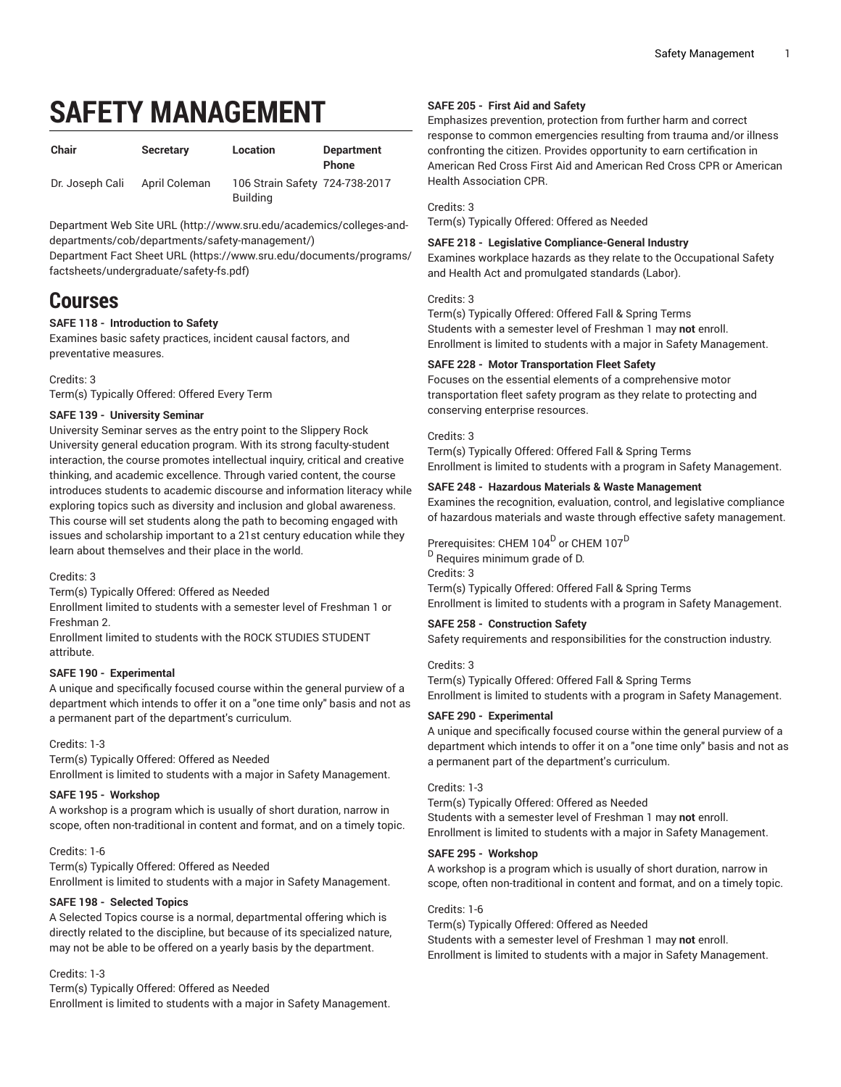# **SAFETY MANAGEMENT**

| Chair           | <b>Secretary</b> | Location                                          | <b>Department</b><br><b>Phone</b> |
|-----------------|------------------|---------------------------------------------------|-----------------------------------|
| Dr. Joseph Cali | April Coleman    | 106 Strain Safety 724-738-2017<br><b>Building</b> |                                   |

[Department](http://www.sru.edu/academics/colleges-and-departments/cob/departments/safety-management/) Web Site URL ([http://www.sru.edu/academics/colleges-and](http://www.sru.edu/academics/colleges-and-departments/cob/departments/safety-management/)[departments/cob/departments/safety-management/\)](http://www.sru.edu/academics/colleges-and-departments/cob/departments/safety-management/)

[Department](https://www.sru.edu/documents/programs/factsheets/undergraduate/safety-fs.pdf) Fact Sheet URL ([https://www.sru.edu/documents/programs/](https://www.sru.edu/documents/programs/factsheets/undergraduate/safety-fs.pdf) [factsheets/undergraduate/safety-fs.pdf\)](https://www.sru.edu/documents/programs/factsheets/undergraduate/safety-fs.pdf)

# **Courses**

#### **SAFE 118 - Introduction to Safety**

Examines basic safety practices, incident causal factors, and preventative measures.

#### Credits: 3

Term(s) Typically Offered: Offered Every Term

# **SAFE 139 - University Seminar**

University Seminar serves as the entry point to the Slippery Rock University general education program. With its strong faculty-student interaction, the course promotes intellectual inquiry, critical and creative thinking, and academic excellence. Through varied content, the course introduces students to academic discourse and information literacy while exploring topics such as diversity and inclusion and global awareness. This course will set students along the path to becoming engaged with issues and scholarship important to a 21st century education while they learn about themselves and their place in the world.

Credits: 3

Term(s) Typically Offered: Offered as Needed

Enrollment limited to students with a semester level of Freshman 1 or Freshman 2.

Enrollment limited to students with the ROCK STUDIES STUDENT attribute.

#### **SAFE 190 - Experimental**

A unique and specifically focused course within the general purview of a department which intends to offer it on a "one time only" basis and not as a permanent part of the department's curriculum.

#### Credits: 1-3

Term(s) Typically Offered: Offered as Needed Enrollment is limited to students with a major in Safety Management.

#### **SAFE 195 - Workshop**

A workshop is a program which is usually of short duration, narrow in scope, often non-traditional in content and format, and on a timely topic.

Credits: 1-6

Term(s) Typically Offered: Offered as Needed Enrollment is limited to students with a major in Safety Management.

#### **SAFE 198 - Selected Topics**

A Selected Topics course is a normal, departmental offering which is directly related to the discipline, but because of its specialized nature, may not be able to be offered on a yearly basis by the department.

#### Credits: 1-3

Term(s) Typically Offered: Offered as Needed Enrollment is limited to students with a major in Safety Management.

# **SAFE 205 - First Aid and Safety**

Emphasizes prevention, protection from further harm and correct response to common emergencies resulting from trauma and/or illness confronting the citizen. Provides opportunity to earn certification in American Red Cross First Aid and American Red Cross CPR or American Health Association CPR.

### Credits: 3

Term(s) Typically Offered: Offered as Needed

# **SAFE 218 - Legislative Compliance-General Industry**

Examines workplace hazards as they relate to the Occupational Safety and Health Act and promulgated standards (Labor).

#### Credits: 3

Term(s) Typically Offered: Offered Fall & Spring Terms Students with a semester level of Freshman 1 may **not** enroll. Enrollment is limited to students with a major in Safety Management.

#### **SAFE 228 - Motor Transportation Fleet Safety**

Focuses on the essential elements of a comprehensive motor transportation fleet safety program as they relate to protecting and conserving enterprise resources.

#### Credits: 3

Term(s) Typically Offered: Offered Fall & Spring Terms Enrollment is limited to students with a program in Safety Management.

#### **SAFE 248 - Hazardous Materials & Waste Management**

Examines the recognition, evaluation, control, and legislative compliance of hazardous materials and waste through effective safety management.

Prerequisites: CHEM 104 $^{\mathrm{D}}$  or CHEM 107 $^{\mathrm{D}}$ 

<sup>D</sup> Requires minimum grade of D.

Credits: 3

Term(s) Typically Offered: Offered Fall & Spring Terms Enrollment is limited to students with a program in Safety Management.

# **SAFE 258 - Construction Safety**

Safety requirements and responsibilities for the construction industry.

#### Credits: 3

Term(s) Typically Offered: Offered Fall & Spring Terms Enrollment is limited to students with a program in Safety Management.

#### **SAFE 290 - Experimental**

A unique and specifically focused course within the general purview of a department which intends to offer it on a "one time only" basis and not as a permanent part of the department's curriculum.

#### Credits: 1-3

Term(s) Typically Offered: Offered as Needed Students with a semester level of Freshman 1 may **not** enroll. Enrollment is limited to students with a major in Safety Management.

#### **SAFE 295 - Workshop**

A workshop is a program which is usually of short duration, narrow in scope, often non-traditional in content and format, and on a timely topic.

Credits: 1-6

Term(s) Typically Offered: Offered as Needed Students with a semester level of Freshman 1 may **not** enroll. Enrollment is limited to students with a major in Safety Management.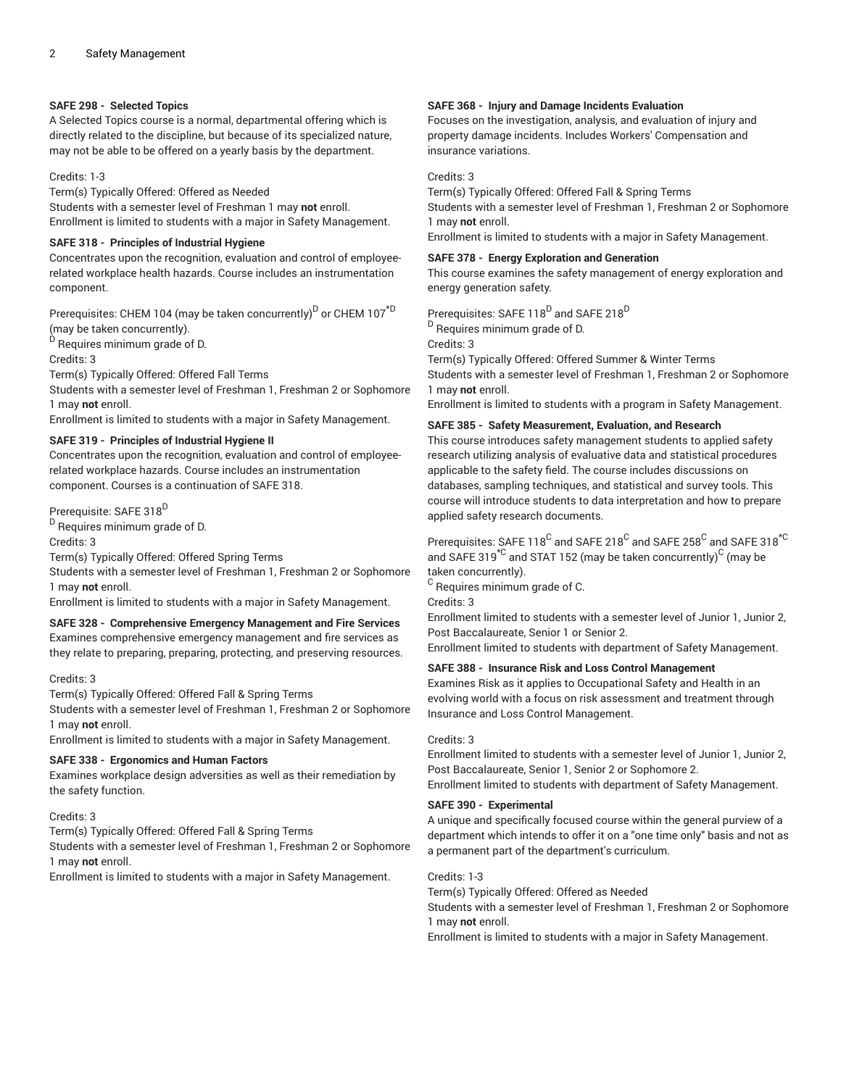#### **SAFE 298 - Selected Topics**

A Selected Topics course is a normal, departmental offering which is directly related to the discipline, but because of its specialized nature, may not be able to be offered on a yearly basis by the department.

#### Credits: 1-3

Term(s) Typically Offered: Offered as Needed

Students with a semester level of Freshman 1 may **not** enroll. Enrollment is limited to students with a major in Safety Management.

#### **SAFE 318 - Principles of Industrial Hygiene**

Concentrates upon the recognition, evaluation and control of employeerelated workplace health hazards. Course includes an instrumentation component.

Prerequisites: CHEM 104 (may be taken concurrently)<sup>D</sup> or CHEM 107<sup>\*D</sup> (may be taken concurrently).

<sup>D</sup> Requires minimum grade of D.

Credits: 3

Term(s) Typically Offered: Offered Fall Terms

Students with a semester level of Freshman 1, Freshman 2 or Sophomore 1 may **not** enroll.

Enrollment is limited to students with a major in Safety Management.

#### **SAFE 319 - Principles of Industrial Hygiene II**

Concentrates upon the recognition, evaluation and control of employeerelated workplace hazards. Course includes an instrumentation component. Courses is a continuation of SAFE 318.

Prerequisite: SAFE 318<sup>D</sup>

<sup>D</sup> Requires minimum grade of D.

Credits: 3

Term(s) Typically Offered: Offered Spring Terms

Students with a semester level of Freshman 1, Freshman 2 or Sophomore 1 may **not** enroll.

Enrollment is limited to students with a major in Safety Management.

#### **SAFE 328 - Comprehensive Emergency Management and Fire Services**

Examines comprehensive emergency management and fire services as they relate to preparing, preparing, protecting, and preserving resources.

#### Credits: 3

Term(s) Typically Offered: Offered Fall & Spring Terms

Students with a semester level of Freshman 1, Freshman 2 or Sophomore 1 may **not** enroll.

Enrollment is limited to students with a major in Safety Management.

#### **SAFE 338 - Ergonomics and Human Factors**

Examines workplace design adversities as well as their remediation by the safety function.

#### Credits: 3

Term(s) Typically Offered: Offered Fall & Spring Terms

Students with a semester level of Freshman 1, Freshman 2 or Sophomore 1 may **not** enroll.

Enrollment is limited to students with a major in Safety Management.

#### **SAFE 368 - Injury and Damage Incidents Evaluation**

Focuses on the investigation, analysis, and evaluation of injury and property damage incidents. Includes Workers' Compensation and insurance variations.

#### Credits: 3

Term(s) Typically Offered: Offered Fall & Spring Terms

Students with a semester level of Freshman 1, Freshman 2 or Sophomore 1 may **not** enroll.

Enrollment is limited to students with a major in Safety Management.

# **SAFE 378 - Energy Exploration and Generation**

This course examines the safety management of energy exploration and energy generation safety.

Prerequisites: SAFE 118 $^{\mathrm{D}}$  and SAFE 218 $^{\mathrm{D}}$ 

<sup>D</sup> Requires minimum grade of D.

Credits: 3

Term(s) Typically Offered: Offered Summer & Winter Terms

Students with a semester level of Freshman 1, Freshman 2 or Sophomore 1 may **not** enroll.

Enrollment is limited to students with a program in Safety Management.

#### **SAFE 385 - Safety Measurement, Evaluation, and Research**

This course introduces safety management students to applied safety research utilizing analysis of evaluative data and statistical procedures applicable to the safety field. The course includes discussions on databases, sampling techniques, and statistical and survey tools. This course will introduce students to data interpretation and how to prepare applied safety research documents.

Prerequisites: SAFE 118 $^{\rm C}$  and SAFE 218 $^{\rm C}$  and SAFE  $258^{\rm C}$  and SAFE 318 $^{\rm \star C}$ and SAFE 319 $^{\star{\mathbb C}}$  and STAT 152 (may be taken concurrently) $^{\mathbb C}$  (may be taken concurrently).

 $^{\rm C}$  Requires minimum grade of C.

Credits: 3

Enrollment limited to students with a semester level of Junior 1, Junior 2, Post Baccalaureate, Senior 1 or Senior 2.

Enrollment limited to students with department of Safety Management.

#### **SAFE 388 - Insurance Risk and Loss Control Management**

Examines Risk as it applies to Occupational Safety and Health in an evolving world with a focus on risk assessment and treatment through Insurance and Loss Control Management.

#### Credits: 3

Enrollment limited to students with a semester level of Junior 1, Junior 2, Post Baccalaureate, Senior 1, Senior 2 or Sophomore 2. Enrollment limited to students with department of Safety Management.

#### **SAFE 390 - Experimental**

A unique and specifically focused course within the general purview of a department which intends to offer it on a "one time only" basis and not as a permanent part of the department's curriculum.

#### Credits: 1-3

Term(s) Typically Offered: Offered as Needed

Students with a semester level of Freshman 1, Freshman 2 or Sophomore 1 may **not** enroll.

Enrollment is limited to students with a major in Safety Management.